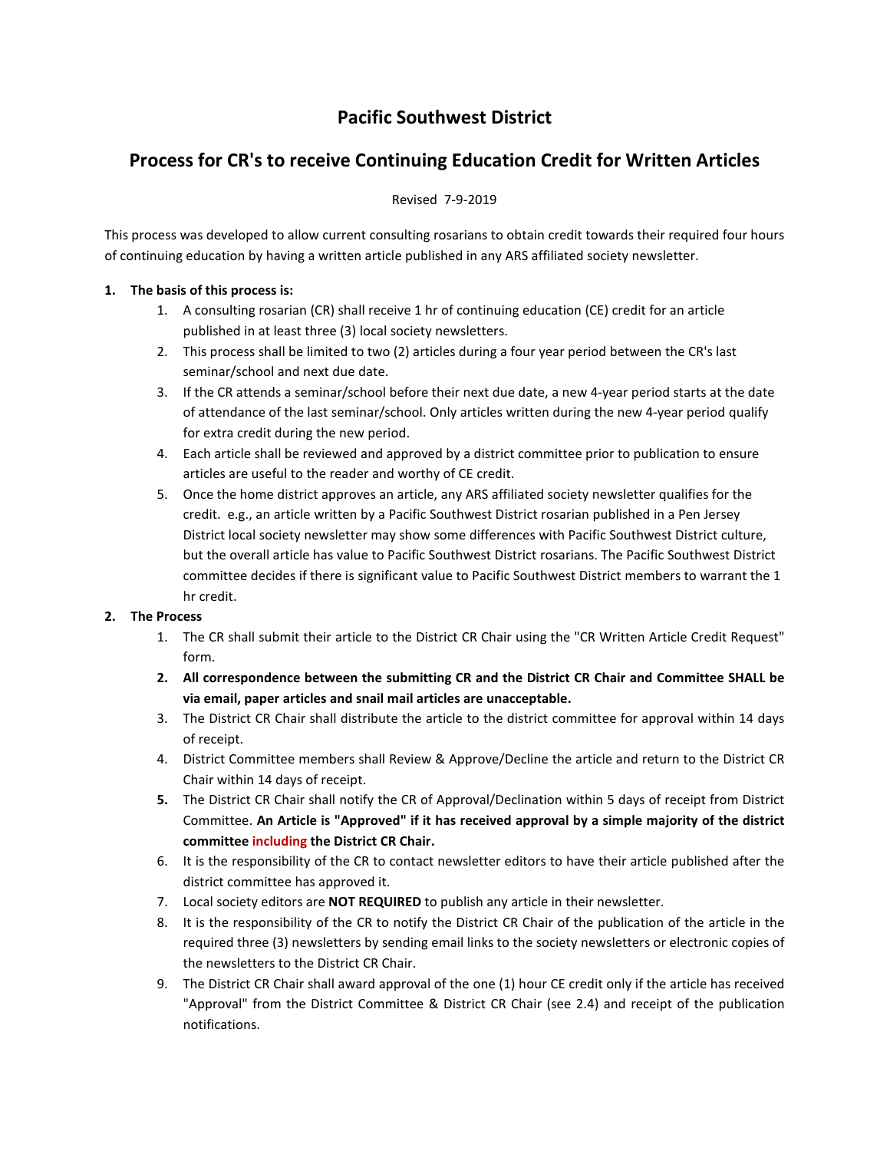# **Pacific Southwest District**

# **Process for CR's to receive Continuing Education Credit for Written Articles**

## Revised 7-9-2019

This process was developed to allow current consulting rosarians to obtain credit towards their required four hours of continuing education by having a written article published in any ARS affiliated society newsletter.

### **1. The basis of this process is:**

- 1. A consulting rosarian (CR) shall receive 1 hr of continuing education (CE) credit for an article published in at least three (3) local society newsletters.
- 2. This process shall be limited to two (2) articles during a four year period between the CR's last seminar/school and next due date.
- 3. If the CR attends a seminar/school before their next due date, a new 4-year period starts at the date of attendance of the last seminar/school. Only articles written during the new 4-year period qualify for extra credit during the new period.
- 4. Each article shall be reviewed and approved by a district committee prior to publication to ensure articles are useful to the reader and worthy of CE credit.
- 5. Once the home district approves an article, any ARS affiliated society newsletter qualifies for the credit. e.g., an article written by a Pacific Southwest District rosarian published in a Pen Jersey District local society newsletter may show some differences with Pacific Southwest District culture, but the overall article has value to Pacific Southwest District rosarians. The Pacific Southwest District committee decides if there is significant value to Pacific Southwest District members to warrant the 1 hr credit.

## **2. The Process**

- 1. The CR shall submit their article to the District CR Chair using the "CR Written Article Credit Request" form.
- **2. All correspondence between the submitting CR and the District CR Chair and Committee SHALL be via email, paper articles and snail mail articles are unacceptable.**
- 3. The District CR Chair shall distribute the article to the district committee for approval within 14 days of receipt.
- 4. District Committee members shall Review & Approve/Decline the article and return to the District CR Chair within 14 days of receipt.
- **5.** The District CR Chair shall notify the CR of Approval/Declination within 5 days of receipt from District Committee. **An Article is "Approved" if it has received approval by a simple majority of the district committee including the District CR Chair.**
- 6. It is the responsibility of the CR to contact newsletter editors to have their article published after the district committee has approved it.
- 7. Local society editors are **NOT REQUIRED** to publish any article in their newsletter.
- 8. It is the responsibility of the CR to notify the District CR Chair of the publication of the article in the required three (3) newsletters by sending email links to the society newsletters or electronic copies of the newsletters to the District CR Chair.
- 9. The District CR Chair shall award approval of the one (1) hour CE credit only if the article has received "Approval" from the District Committee & District CR Chair (see 2.4) and receipt of the publication notifications.